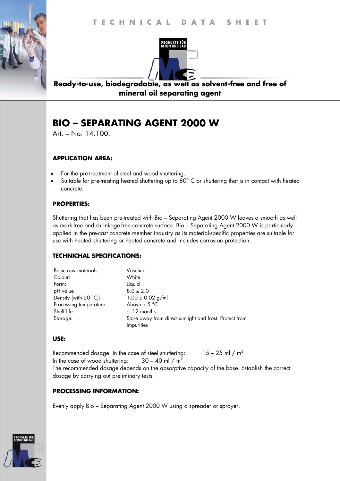

**Ready-to-use, biodegradable, as well as solvent-free and free of mineral oil separating agent** 

# **BIO – SEPARATING AGENT 2000 W**

Art. – No. 14.100.

# **APPLICATION AREA:**

- For the pre-treatment of steel and wood shuttering.
- Suitable for pre-treating heated shuttering up to 80° C or shuttering that is in contact with heated concrete.

## **PROPERTIES:**

Shuttering that has been pre-treated with Bio – Separating Agent 2000 W leaves a smooth as well as mark-free and shrinkage-free concrete surface. Bio – Separating Agent 2000 W is particularly applied in the pre-cast concrete member industry as its material-specific properties are suitable for use with heated shuttering or heated concrete and includes corrosion protection.

### **TECHNICHAL SPECIFICATIONS:**

| Basic raw materials            | Vaseline                                                |
|--------------------------------|---------------------------------------------------------|
| Colour:                        | White                                                   |
| Form:                          | Liquid                                                  |
| pH value                       | $8.0 \pm 2.0$                                           |
| Density (with $20^{\circ}$ C): | $1.00 \pm 0.02$ g/ml                                    |
| Processing temperature:        | Above + $5^{\circ}$ C                                   |
| Shelf life:                    | c. 12 months                                            |
| Storage:                       | Store away from direct sunlight and frost. Protect from |
|                                | impurities                                              |

### **USE:**

Recommended dosage: In the case of steel shuttering:  $15 - 25$  ml / m<sup>2</sup> In the case of wood shuttering:  $30 - 40$  ml / m<sup>2</sup> The recommended dosage depends on the absorptive capacity of the base. Establish the correct dosage by carrying out preliminary tests.

# **PROCESSING INFORMATION:**

Evenly apply Bio – Separating Agent 2000 W using a spreader or sprayer.